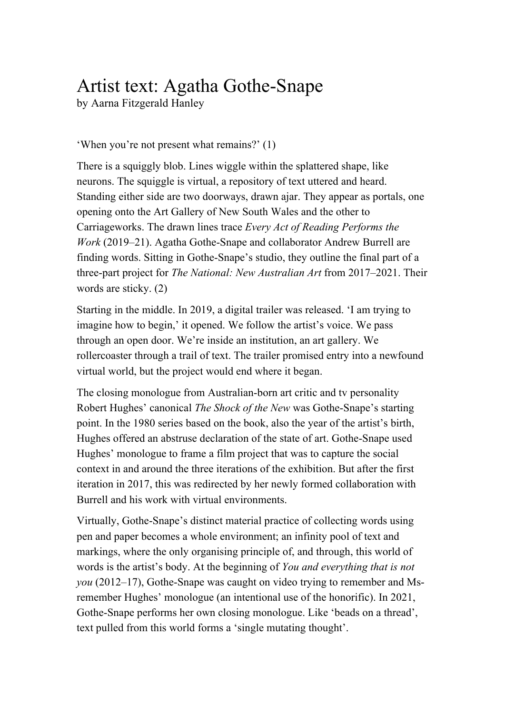## Artist text: Agatha Gothe-Snape

by Aarna Fitzgerald Hanley

## 'When you're not present what remains?' (1)

There is a squiggly blob. Lines wiggle within the splattered shape, like neurons. The squiggle is virtual, a repository of text uttered and heard. Standing either side are two doorways, drawn ajar. They appear as portals, one opening onto the Art Gallery of New South Wales and the other to Carriageworks. The drawn lines trace *Every Act of Reading Performs the Work* (2019–21). Agatha Gothe-Snape and collaborator Andrew Burrell are finding words. Sitting in Gothe-Snape's studio, they outline the final part of a three-part project for *The National: New Australian Art* from 2017–2021. Their words are sticky. (2)

Starting in the middle. In 2019, a digital trailer was released. 'I am trying to imagine how to begin,' it opened. We follow the artist's voice. We pass through an open door. We're inside an institution, an art gallery. We rollercoaster through a trail of text. The trailer promised entry into a newfound virtual world, but the project would end where it began.

The closing monologue from Australian-born art critic and tv personality Robert Hughes' canonical *The Shock of the New* was Gothe-Snape's starting point. In the 1980 series based on the book, also the year of the artist's birth, Hughes offered an abstruse declaration of the state of art. Gothe-Snape used Hughes' monologue to frame a film project that was to capture the social context in and around the three iterations of the exhibition. But after the first iteration in 2017, this was redirected by her newly formed collaboration with Burrell and his work with virtual environments.

Virtually, Gothe-Snape's distinct material practice of collecting words using pen and paper becomes a whole environment; an infinity pool of text and markings, where the only organising principle of, and through, this world of words is the artist's body. At the beginning of *You and everything that is not you* (2012–17), Gothe-Snape was caught on video trying to remember and Msremember Hughes' monologue (an intentional use of the honorific). In 2021, Gothe-Snape performs her own closing monologue. Like 'beads on a thread', text pulled from this world forms a 'single mutating thought'.